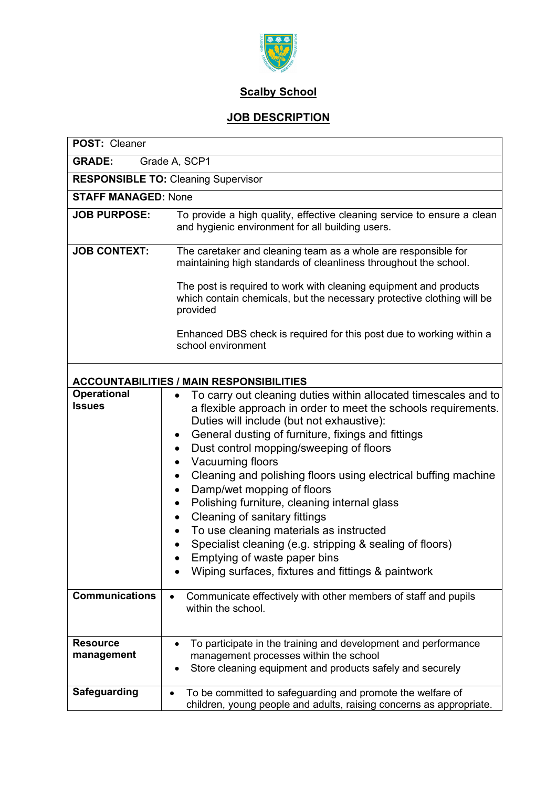

## **Scalby School**

## **JOB DESCRIPTION**

| POST: Cleaner                                   |                                                                                                                                                                                                                                                                                                                                                                                                                                                                                                                                                                                                                                                                                                                                            |  |
|-------------------------------------------------|--------------------------------------------------------------------------------------------------------------------------------------------------------------------------------------------------------------------------------------------------------------------------------------------------------------------------------------------------------------------------------------------------------------------------------------------------------------------------------------------------------------------------------------------------------------------------------------------------------------------------------------------------------------------------------------------------------------------------------------------|--|
| <b>GRADE:</b><br>Grade A, SCP1                  |                                                                                                                                                                                                                                                                                                                                                                                                                                                                                                                                                                                                                                                                                                                                            |  |
| <b>RESPONSIBLE TO: Cleaning Supervisor</b>      |                                                                                                                                                                                                                                                                                                                                                                                                                                                                                                                                                                                                                                                                                                                                            |  |
| <b>STAFF MANAGED: None</b>                      |                                                                                                                                                                                                                                                                                                                                                                                                                                                                                                                                                                                                                                                                                                                                            |  |
| <b>JOB PURPOSE:</b>                             | To provide a high quality, effective cleaning service to ensure a clean<br>and hygienic environment for all building users.                                                                                                                                                                                                                                                                                                                                                                                                                                                                                                                                                                                                                |  |
| <b>JOB CONTEXT:</b>                             | The caretaker and cleaning team as a whole are responsible for<br>maintaining high standards of cleanliness throughout the school.                                                                                                                                                                                                                                                                                                                                                                                                                                                                                                                                                                                                         |  |
|                                                 | The post is required to work with cleaning equipment and products<br>which contain chemicals, but the necessary protective clothing will be<br>provided                                                                                                                                                                                                                                                                                                                                                                                                                                                                                                                                                                                    |  |
|                                                 | Enhanced DBS check is required for this post due to working within a<br>school environment                                                                                                                                                                                                                                                                                                                                                                                                                                                                                                                                                                                                                                                 |  |
| <b>ACCOUNTABILITIES / MAIN RESPONSIBILITIES</b> |                                                                                                                                                                                                                                                                                                                                                                                                                                                                                                                                                                                                                                                                                                                                            |  |
| <b>Operational</b><br><b>Issues</b>             | To carry out cleaning duties within allocated timescales and to<br>a flexible approach in order to meet the schools requirements.<br>Duties will include (but not exhaustive):<br>General dusting of furniture, fixings and fittings<br>$\bullet$<br>Dust control mopping/sweeping of floors<br>Vacuuming floors<br>٠<br>Cleaning and polishing floors using electrical buffing machine<br>$\bullet$<br>Damp/wet mopping of floors<br>$\bullet$<br>Polishing furniture, cleaning internal glass<br>Cleaning of sanitary fittings<br>$\bullet$<br>To use cleaning materials as instructed<br>Specialist cleaning (e.g. stripping & sealing of floors)<br>Emptying of waste paper bins<br>Wiping surfaces, fixtures and fittings & paintwork |  |
| <b>Communications</b>                           | Communicate effectively with other members of staff and pupils<br>within the school.                                                                                                                                                                                                                                                                                                                                                                                                                                                                                                                                                                                                                                                       |  |
| <b>Resource</b><br>management                   | To participate in the training and development and performance<br>management processes within the school<br>Store cleaning equipment and products safely and securely                                                                                                                                                                                                                                                                                                                                                                                                                                                                                                                                                                      |  |
| <b>Safeguarding</b>                             | To be committed to safeguarding and promote the welfare of<br>children, young people and adults, raising concerns as appropriate.                                                                                                                                                                                                                                                                                                                                                                                                                                                                                                                                                                                                          |  |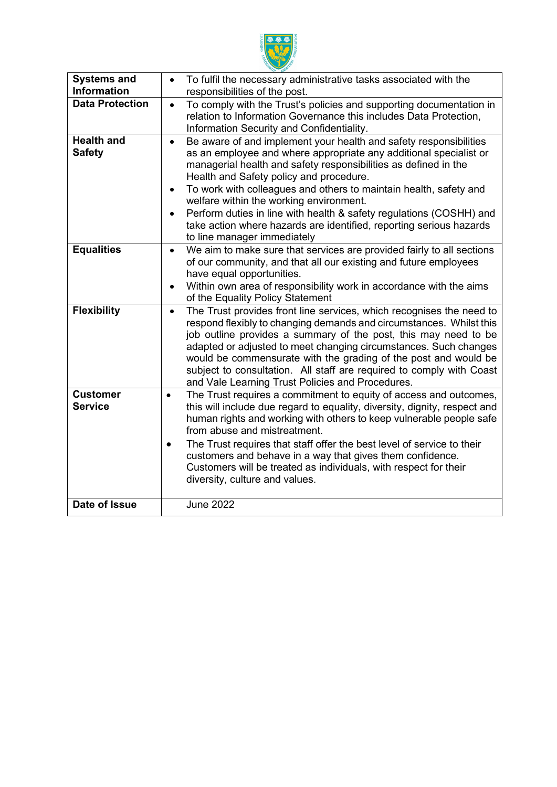

| <b>Systems and</b><br><b>Information</b> | To fulfil the necessary administrative tasks associated with the<br>$\bullet$<br>responsibilities of the post.                                                                                                                                                                                                                                                                                                                                                                                                                                                                           |  |
|------------------------------------------|------------------------------------------------------------------------------------------------------------------------------------------------------------------------------------------------------------------------------------------------------------------------------------------------------------------------------------------------------------------------------------------------------------------------------------------------------------------------------------------------------------------------------------------------------------------------------------------|--|
| <b>Data Protection</b>                   | To comply with the Trust's policies and supporting documentation in<br>$\bullet$<br>relation to Information Governance this includes Data Protection,<br>Information Security and Confidentiality.                                                                                                                                                                                                                                                                                                                                                                                       |  |
| <b>Health and</b><br><b>Safety</b>       | Be aware of and implement your health and safety responsibilities<br>$\bullet$<br>as an employee and where appropriate any additional specialist or<br>managerial health and safety responsibilities as defined in the<br>Health and Safety policy and procedure.<br>To work with colleagues and others to maintain health, safety and<br>$\bullet$<br>welfare within the working environment.<br>Perform duties in line with health & safety regulations (COSHH) and<br>$\bullet$<br>take action where hazards are identified, reporting serious hazards<br>to line manager immediately |  |
| <b>Equalities</b>                        | We aim to make sure that services are provided fairly to all sections<br>$\bullet$<br>of our community, and that all our existing and future employees<br>have equal opportunities.<br>Within own area of responsibility work in accordance with the aims<br>of the Equality Policy Statement                                                                                                                                                                                                                                                                                            |  |
| <b>Flexibility</b>                       | The Trust provides front line services, which recognises the need to<br>$\bullet$<br>respond flexibly to changing demands and circumstances. Whilst this<br>job outline provides a summary of the post, this may need to be<br>adapted or adjusted to meet changing circumstances. Such changes<br>would be commensurate with the grading of the post and would be<br>subject to consultation. All staff are required to comply with Coast<br>and Vale Learning Trust Policies and Procedures.                                                                                           |  |
| <b>Customer</b><br><b>Service</b>        | The Trust requires a commitment to equity of access and outcomes,<br>$\bullet$<br>this will include due regard to equality, diversity, dignity, respect and<br>human rights and working with others to keep vulnerable people safe<br>from abuse and mistreatment.<br>The Trust requires that staff offer the best level of service to their<br>$\bullet$<br>customers and behave in a way that gives them confidence.<br>Customers will be treated as individuals, with respect for their<br>diversity, culture and values.                                                             |  |
| Date of Issue                            | <b>June 2022</b>                                                                                                                                                                                                                                                                                                                                                                                                                                                                                                                                                                         |  |